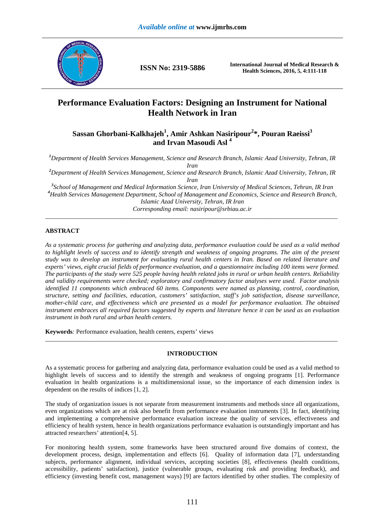

**ISSN No: 2319-5886 International Journal of Medical Research & Health Sciences, 2016, 5, 4:111-118** 

# **Performance Evaluation Factors: Designing an Instrument for National Health Network in Iran**

## **Sassan Ghorbani-Kalkhajeh<sup>1</sup> , Amir Ashkan Nasiripour<sup>2</sup> \*, Pouran Raeissi<sup>3</sup> and Irvan Masoudi Asl <sup>4</sup>**

*<sup>1</sup>Department of Health Services Management, Science and Research Branch, Islamic Azad University, Tehran, IR Iran* 

*<sup>2</sup>Department of Health Services Management, Science and Research Branch, Islamic Azad University, Tehran, IR Iran* 

<sup>3</sup> School of Management and Medical Information Science, Iran University of Medical Sciences, Tehran, IR Iran *<sup>4</sup>Health Services Management Department, School of Management and Economics, Science and Research Branch, Islamic Azad University, Tehran, IR Iran* 

*Corresponding email: nasiripour@srbiau.ac.ir*  \_\_\_\_\_\_\_\_\_\_\_\_\_\_\_\_\_\_\_\_\_\_\_\_\_\_\_\_\_\_\_\_\_\_\_\_\_\_\_\_\_\_\_\_\_\_\_\_\_\_\_\_\_\_\_\_\_\_\_\_\_\_\_\_\_\_\_\_\_\_\_\_\_\_\_\_\_\_\_\_\_\_\_\_\_\_\_\_\_\_\_\_\_

## **ABSTRACT**

*As a systematic process for gathering and analyzing data, performance evaluation could be used as a valid method to highlight levels of success and to identify strength and weakness of ongoing programs. The aim of the present study was to develop an instrument for evaluating rural health centers in Iran. Based on related literature and experts' views, eight crucial fields of performance evaluation, and a questionnaire including 100 items were formed. The participants of the study were 525 people having health related jobs in rural or urban health centers. Reliability and validity requirements were checked; exploratory and confirmatory factor analyses were used. Factor analysis identified 11 components which embraced 60 items. Components were named as planning, control, coordination, structure, setting and facilities, education, customers' satisfaction, staff's job satisfaction, disease surveillance, mother-child care, and effectiveness which are presented as a model for performance evaluation. The obtained instrument embraces all required factors suggested by experts and literature hence it can be used as an evaluation instrument in both rural and urban health centers.* 

**Keywords***:* Performance evaluation, health centers, experts' views

## **INTRODUCTION**

\_\_\_\_\_\_\_\_\_\_\_\_\_\_\_\_\_\_\_\_\_\_\_\_\_\_\_\_\_\_\_\_\_\_\_\_\_\_\_\_\_\_\_\_\_\_\_\_\_\_\_\_\_\_\_\_\_\_\_\_\_\_\_\_\_\_\_\_\_\_\_\_\_\_\_\_\_\_\_\_\_\_\_\_\_\_\_\_\_\_\_\_\_

As a systematic process for gathering and analyzing data, performance evaluation could be used as a valid method to highlight levels of success and to identify the strength and weakness of ongoing programs [1]. Performance evaluation in health organizations is a multidimensional issue, so the importance of each dimension index is dependent on the results of indices [1, 2].

The study of organization issues is not separate from measurement instruments and methods since all organizations, even organizations which are at risk also benefit from performance evaluation instruments [3]. In fact, identifying and implementing a comprehensive performance evaluation increase the quality of services, effectiveness and efficiency of health system, hence in health organizations performance evaluation is outstandingly important and has attracted researchers' attention[4, 5].

For monitoring health system, some frameworks have been structured around five domains of context, the development process, design, implementation and effects [6]. Quality of information data [7], understanding subjects, performance alignment, individual services, accepting societies [8], effectiveness (health conditions, accessibility, patients' satisfaction), justice (vulnerable groups, evaluating risk and providing feedback), and efficiency (investing benefit cost, management ways) [9] are factors identified by other studies. The complexity of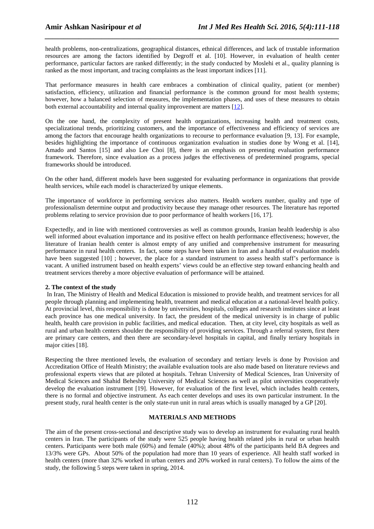health problems, non-centralizations, geographical distances, ethnical differences, and lack of trustable information resources are among the factors identified by Degroff et al. [10]. However, in evaluation of health center performance, particular factors are ranked differently; in the study conducted by Moslehi et al., quality planning is ranked as the most important, and tracing complaints as the least important indices [11].

*\_\_\_\_\_\_\_\_\_\_\_\_\_\_\_\_\_\_\_\_\_\_\_\_\_\_\_\_\_\_\_\_\_\_\_\_\_\_\_\_\_\_\_\_\_\_\_\_\_\_\_\_\_\_\_\_\_\_\_\_\_\_\_\_\_\_\_\_\_\_\_\_\_\_\_\_\_\_*

That performance measures in health care embraces a combination of clinical quality, patient (or member) satisfaction, efficiency, utilization and financial performance is the common ground for most health systems; however, how a balanced selection of measures, the implementation phases, and uses of these measures to obtain both external accountability and internal quality improvement are matters [12].

On the one hand, the complexity of present health organizations, increasing health and treatment costs, specializational trends, prioritizing customers, and the importance of effectiveness and efficiency of services are among the factors that encourage health organizations to recourse to performance evaluation [9, 13]. For example, besides highlighting the importance of continuous organization evaluation in studies done by Wong et al. [14], Amado and Santos [15] and also Lee Choi [8], there is an emphasis on presenting evaluation performance framework. Therefore, since evaluation as a process judges the effectiveness of predetermined programs, special frameworks should be introduced.

On the other hand, different models have been suggested for evaluating performance in organizations that provide health services, while each model is characterized by unique elements.

The importance of workforce in performing services also matters. Health workers number, quality and type of professionalism determine output and productivity because they manage other resources. The literature has reported problems relating to service provision due to poor performance of health workers [16, 17].

Expectedly, and in line with mentioned controversies as well as common grounds, Iranian health leadership is also well informed about evaluation importance and its positive effect on health performance effectiveness; however, the literature of Iranian health center is almost empty of any unified and comprehensive instrument for measuring performance in rural health centers. In fact, some steps have been taken in Iran and a handful of evaluation models have been suggested [10]; however, the place for a standard instrument to assess health staff's performance is vacant. A unified instrument based on health experts' views could be an effective step toward enhancing health and treatment services thereby a more objective evaluation of performance will be attained.

## **2. The context of the study**

 In Iran, The Ministry of Health and Medical Education is missioned to provide health, and treatment services for all people through planning and implementing health, treatment and medical education at a national-level health policy. At provincial level, this responsibility is done by universities, hospitals, colleges and research institutes since at least each province has one medical university. In fact, the president of the medical university is in charge of public health, health care provision in public facilities, and medical education. Then, at city level, city hospitals as well as rural and urban health centers shoulder the responsibility of providing services. Through a referral system, first there are primary care centers, and then there are secondary-level hospitals in capital, and finally tertiary hospitals in major cities [18].

Respecting the three mentioned levels, the evaluation of secondary and tertiary levels is done by Provision and Accreditation Office of Health Ministry; the available evaluation tools are also made based on literature reviews and professional experts views that are piloted at hospitals. Tehran University of Medical Sciences, Iran University of Medical Sciences and Shahid Beheshty University of Medical Sciences as well as pilot universities cooperatively develop the evaluation instrument [19]. However, for evaluation of the first level, which includes health centers, there is no formal and objective instrument. As each center develops and uses its own particular instrument. In the present study, rural health center is the only state-run unit in rural areas which is usually managed by a GP [20].

## **MATERIALS AND METHODS**

The aim of the present cross-sectional and descriptive study was to develop an instrument for evaluating rural health centers in Iran. The participants of the study were 525 people having health related jobs in rural or urban health centers. Participants were both male (60%) and female (40%); about 48% of the participants held BA degrees and 13/3% were GPs. About 50% of the population had more than 10 years of experience. All health staff worked in health centers (more than 32% worked in urban centers and 20% worked in rural centers). To follow the aims of the study, the following 5 steps were taken in spring, 2014.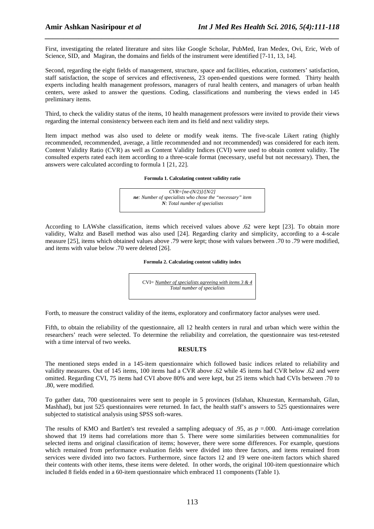First, investigating the related literature and sites like Google Scholar, PubMed, Iran Medex, Ovi, Eric, Web of Science, SID, and Magiran, the domains and fields of the instrument were identified [7-11, 13, 14].

*\_\_\_\_\_\_\_\_\_\_\_\_\_\_\_\_\_\_\_\_\_\_\_\_\_\_\_\_\_\_\_\_\_\_\_\_\_\_\_\_\_\_\_\_\_\_\_\_\_\_\_\_\_\_\_\_\_\_\_\_\_\_\_\_\_\_\_\_\_\_\_\_\_\_\_\_\_\_*

Second, regarding the eight fields of management, structure, space and facilities, education, customers' satisfaction, staff satisfaction, the scope of services and effectiveness, 23 open-ended questions were formed. Thirty health experts including health management professors, managers of rural health centers, and managers of urban health centers, were asked to answer the questions. Coding, classifications and numbering the views ended in 145 preliminary items.

Third, to check the validity status of the items, 10 health management professors were invited to provide their views regarding the internal consistency between each item and its field and next validity steps.

Item impact method was also used to delete or modify weak items. The five-scale Likert rating (highly recommended, recommended, average, a little recommended and not recommended) was considered for each item. Content Validity Ratio (CVR) as well as Content Validity Indices (CVI) were used to obtain content validity. The consulted experts rated each item according to a three-scale format (necessary, useful but not necessary). Then, the answers were calculated according to formula 1 [21, 22].

#### **Formula 1. Calculating content validity ratio**

*CVR=[ne-(N/2)]/[N/2] ne: Number of specialists who chose the "necessary" item N: Total number of specialists*

According to LAWshe classification, items which received values above .62 were kept [23]. To obtain more validity, Waltz and Basell method was also used [24]. Regarding clarity and simplicity, according to a 4-scale measure [25], items which obtained values above .79 were kept; those with values between .70 to .79 were modified, and items with value below .70 were deleted [26].

#### **Formula 2. Calculating content validity index**

 CVI= *Number of specialists agreeing with items 3 & 4 Total number of specialists* 

Forth, to measure the construct validity of the items, exploratory and confirmatory factor analyses were used.

Fifth, to obtain the reliability of the questionnaire, all 12 health centers in rural and urban which were within the researchers' reach were selected. To determine the reliability and correlation, the questionnaire was test-retested with a time interval of two weeks.

#### **RESULTS**

The mentioned steps ended in a 145-item questionnaire which followed basic indices related to reliability and validity measures. Out of 145 items, 100 items had a CVR above .62 while 45 items had CVR below .62 and were omitted. Regarding CVI, 75 items had CVI above 80% and were kept, but 25 items which had CVIs between .70 to .80, were modified.

To gather data, 700 questionnaires were sent to people in 5 provinces (Isfahan, Khuzestan, Kermanshah, Gilan, Mashhad), but just 525 questionnaires were returned. In fact, the health staff's answers to 525 questionnaires were subjected to statistical analysis using SPSS soft-wares.

The results of KMO and Bartlett's test revealed a sampling adequacy of .95, as  $p = 0.00$ . Anti-image correlation showed that 19 items had correlations more than 5. There were some similarities between communalities for selected items and original classification of items; however, there were some differences. For example, questions which remained from performance evaluation fields were divided into three factors, and items remained from services were divided into two factors. Furthermore, since factors 12 and 19 were one-item factors which shared their contents with other items, these items were deleted. In other words, the original 100-item questionnaire which included 8 fields ended in a 60-item questionnaire which embraced 11 components (Table 1).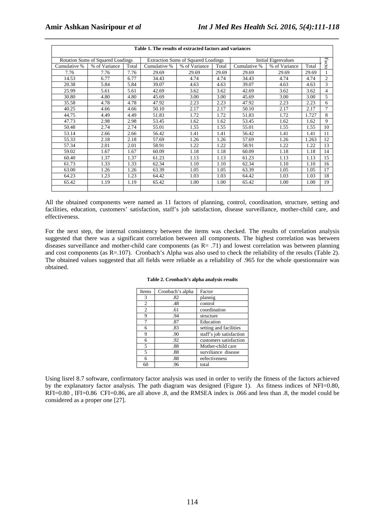$\mathsf{r}$ 

| Table 1. The results of extracted factors and variances |               |       |                                            |               |       |                            |               |       |                |  |
|---------------------------------------------------------|---------------|-------|--------------------------------------------|---------------|-------|----------------------------|---------------|-------|----------------|--|
| Rotation Sums of Squared Loadings                       |               |       | <b>Extraction Sums of Squared Loadings</b> |               |       | <b>Initial Eigenvalues</b> |               |       | Facto          |  |
| Cumulative %                                            | % of Variance | Total | Cumulative %                               | % of Variance | Total | Cumulative %               | % of Variance | Total |                |  |
| 7.76                                                    | 7.76          | 7.76  | 29.69                                      | 29.69         | 29.69 | 29.69                      | 29.69         | 29.69 |                |  |
| 14.53                                                   | 6.77          | 6.77  | 34.43                                      | 4.74          | 4.74  | 34.43                      | 4.74          | 4.74  | $\overline{2}$ |  |
| 20.38                                                   | 5.84          | 5.84  | 39.07                                      | 4.63          | 4.63  | 39.07                      | 4.63          | 4.63  | 3              |  |
| 25.99                                                   | 5.61          | 5.61  | 42.69                                      | 3.62          | 3.62  | 42.69                      | 3.62          | 3.62  | 4              |  |
| 30.80                                                   | 4.80          | 4.80  | 45.69                                      | 3.00          | 3.00  | 45.69                      | 3.00          | 3.00  | 5.             |  |
| 35.58                                                   | 4.78          | 4.78  | 47.92                                      | 2.23          | 2.23  | 47.92                      | 2.23          | 2.23  | 6              |  |
| 40.25                                                   | 4.66          | 4.66  | 50.10                                      | 2.17          | 2.17  | 50.10                      | 2.17          | 2.17  | 7              |  |
| 44.75                                                   | 4.49          | 4.49  | 51.83                                      | 1.72          | 1.72  | 51.83                      | 1.72          | 1.727 | 8              |  |
| 47.73                                                   | 2.98          | 2.98  | 53.45                                      | 1.62          | 1.62  | 53.45                      | 1.62          | 1.62  | 9              |  |
| 50.48                                                   | 2.74          | 2.74  | 55.01                                      | 1.55          | 1.55  | 55.01                      | 1.55          | 1.55  | 10             |  |
| 53.14                                                   | 2.66          | 2.66  | 56.42                                      | 1.41          | 1.41  | 56.42                      | 1.41          | 1.41  | 11             |  |
| 55.33                                                   | 2.18          | 2.18  | 57.69                                      | 1.26          | 1.26  | 57.69                      | 1.26          | 1.263 | 12             |  |
| 57.34                                                   | 2.01          | 2.01  | 58.91                                      | 1.22          | 1.22  | 58.91                      | 1.22          | 1.22  | 13             |  |
| 59.02                                                   | 1.67          | 1.67  | 60.09                                      | 1.18          | 1.18  | 60.09                      | 1.18          | 1.18  | 14             |  |
| 60.40                                                   | 1.37          | 1.37  | 61.23                                      | 1.13          | 1.13  | 61.23                      | 1.13          | 1.13  | 15             |  |
| 61.73                                                   | 1.33          | 1.33  | 62.34                                      | 1.10          | 1.10  | 62.34                      | 1.10          | 1.10  | 16             |  |
| 63.00                                                   | 1.26          | 1.26  | 63.39                                      | 1.05          | 1.05  | 63.39                      | 1.05          | 1.05  | 17             |  |
| 64.23                                                   | 1.23          | 1.23  | 64.42                                      | 1.03          | 1.03  | 64.42                      | 1.03          | 1.03  | 18             |  |
| 65.42                                                   | 1.19          | 1.19  | 65.42                                      | 1.00          | 1.00  | 65.42                      | 1.00          | 1.00  | 19             |  |
|                                                         |               |       |                                            |               |       |                            |               |       |                |  |

*\_\_\_\_\_\_\_\_\_\_\_\_\_\_\_\_\_\_\_\_\_\_\_\_\_\_\_\_\_\_\_\_\_\_\_\_\_\_\_\_\_\_\_\_\_\_\_\_\_\_\_\_\_\_\_\_\_\_\_\_\_\_\_\_\_\_\_\_\_\_\_\_\_\_\_\_\_\_* **Table 1. The results of extracted factors and variances** 

All the obtained components were named as 11 factors of planning, control, coordination, structure, setting and facilities, education, customers' satisfaction, staff's job satisfaction, disease surveillance, mother-child care, and effectiveness.

For the next step, the internal consistency between the items was checked. The results of correlation analysis suggested that there was a significant correlation between all components. The highest correlation was between diseases surveillance and mother-child care components (as R= .71) and lowest correlation was between planning and cost components (as R=.107). Cronbach's Alpha was also used to check the reliability of the results (Table 2). The obtained values suggested that all fields were reliable as a reliability of .965 for the whole questionnaire was obtained.

| Items          | Cronbach's alpha | Factor                   |
|----------------|------------------|--------------------------|
| 3              | .82              | plannig                  |
| 2              | .48              | control                  |
| $\overline{c}$ | .61              | coordination             |
| 9              | .94              | structure                |
| 7              | .87              | Education                |
| 6              | .83              | setting and facilities   |
| 9              | .90              | staff's job satisfaction |
| 6              | .92              | customers satisfaction   |
| 5              | .88              | Mother-child care        |
| 5              | .88              | surviliance disease      |
| 6              | .88              | eefectiveness            |
| 60             | .96              | total                    |

#### **Table 2. Cronbach's alpha analysis results**

Using lisrel 8.7 software, confirmatory factor analysis was used in order to verify the fitness of the factors achieved by the explanatory factor analysis. The path diagram was designed (Figure 1). As fitness indices of NFI=0.80, RFI=0.80 , IFI=0.86 CFI=0.86, are all above .8, and the RMSEA index is .066 and less than .8, the model could be considered as a proper one [27].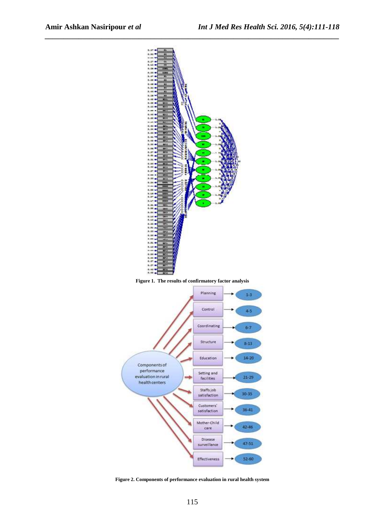



115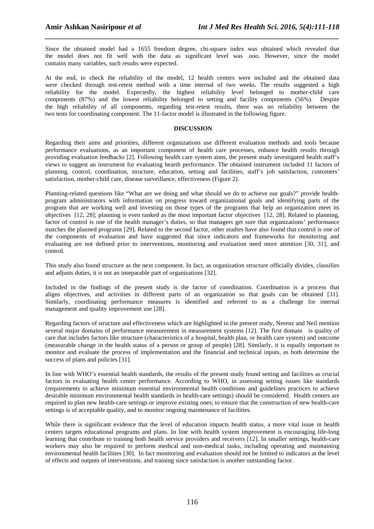Since the obtained model had a 1655 freedom degree, chi-square index was obtained which revealed that the model does not fit well with the data as significant level was .ooo. However, since the model contains many variables, such results were expected.

*\_\_\_\_\_\_\_\_\_\_\_\_\_\_\_\_\_\_\_\_\_\_\_\_\_\_\_\_\_\_\_\_\_\_\_\_\_\_\_\_\_\_\_\_\_\_\_\_\_\_\_\_\_\_\_\_\_\_\_\_\_\_\_\_\_\_\_\_\_\_\_\_\_\_\_\_\_\_*

At the end, to check the reliability of the model, 12 health centers were included and the obtained data were checked through test-retest method with a time internal of two weeks. The results suggested a high reliability for the model. Expectedly, the highest reliability level belonged to mother-child care components (87%) and the lowest reliability belonged to setting and facility components (56%). Despite the high reliability of all components, regarding test-retest results, there was no reliability between the two tests for coordinating component. The 11-factor model is illustrated in the following figure.

## **DISCUSSION**

Regarding their aims and priorities, different organizations use different evaluation methods and tools because performance evaluations, as an important component of health care processes, enhance health results through providing evaluation feedbacks [2]. Following health care system aims, the present study investigated health staff's views to suggest an instrument for evaluating hearth performance. The obtained instrument included 11 factors of planning, control, coordination, structure, education, setting and facilities, staff's job satisfaction, customers' satisfaction, mother-child care, disease surveillance, effectiveness (Figure 2).

Planning-related questions like "What are we doing and what should we do to achieve our goals?" provide healthprogram administrators with information on progress toward organizational goals and identifying parts of the program that are working well and investing on those types of the programs that help an organization meet its objectives [12, 28]; planning is even ranked as the most important factor objectives [12, 28]. Related to planning, factor of control is one of the health manager's duties, so that managers get sure that organizations' performance matches the planned programs [29]. Related to the second factor, other studies have also found that control is one of the components of evaluation and have suggested that since indicators and frameworks for monitoring and evaluating are not defined prior to interventions, monitoring and evaluation need more attention [30, 31], and control.

This study also found structure as the next component. In fact, as organization structure officially divides, classifies and adjusts duties, it is not an inseparable part of organizations [32].

Included in the findings of the present study is the factor of coordination. Coordination is a process that aligns objectives, and activities in different parts of an organization so that goals can be obtained [31]. Similarly, coordinating performance measures is identified and referred to as a challenge for internal management and quality improvement use [28].

Regarding factors of structure and effectiveness which are highlighted in the present study, Nerenz and Neil mention several major domains of performance measurement in measurement systems [12]. The first domain is quality of care that includes factors like structure (characteristics of a hospital, health plan, or health care system) and outcome (measurable change in the health status of a person or group of people) [28]. Similarly, it is equally important to monitor and evaluate the process of implementation and the financial and technical inputs, as both determine the success of plans and policies [31].

In line with WHO's essential health standards, the results of the present study found setting and facilities as crucial factors in evaluating health center performance. According to WHO, in assessing setting issues like standards (requirements to achieve minimum essential environmental health conditions and guidelines practices to achieve desirable minimum environmental health standards in health-care settings) should be considered. Health centers are required to plan new health-care settings or improve existing ones; to ensure that the construction of new health-care settings is of acceptable quality, and to monitor ongoing maintenance of facilities.

While there is significant evidence that the level of education impacts health status, a more vital issue in health centers targets educational programs and plans. In line with health system improvement is encouraging life-long learning that contribute to training both health service providers and receivers [12]. In smaller settings, health-care workers may also be required to perform medical and non-medical tasks, including operating and maintaining environmental health facilities [30]. In fact monitoring and evaluation should not be limited to indicators at the level of effects and outputs of interventions, and training since satisfaction is another outstanding factor.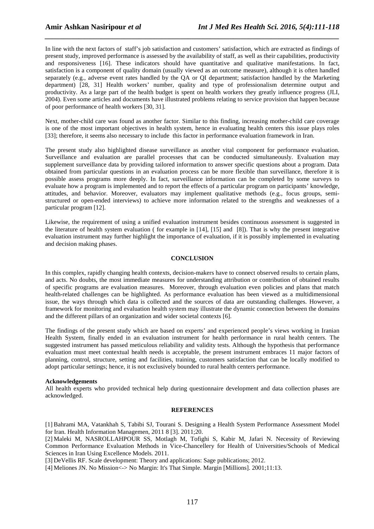In line with the next factors of staff's job satisfaction and customers' satisfaction, which are extracted as findings of present study, improved performance is assessed by the availability of staff, as well as their capabilities, productivity and responsiveness [16]. These indicators should have quantitative and qualitative manifestations. In fact, satisfaction is a component of quality domain (usually viewed as an outcome measure), although it is often handled separately (e.g., adverse event rates handled by the QA or QI department; satisfaction handled by the Marketing department) [28, 31] Health workers' number, quality and type of professionalism determine output and productivity. As a large part of the health budget is spent on health workers they greatly influence progress (JLI, 2004). Even some articles and documents have illustrated problems relating to service provision that happen because of poor performance of health workers [30, 31].

*\_\_\_\_\_\_\_\_\_\_\_\_\_\_\_\_\_\_\_\_\_\_\_\_\_\_\_\_\_\_\_\_\_\_\_\_\_\_\_\_\_\_\_\_\_\_\_\_\_\_\_\_\_\_\_\_\_\_\_\_\_\_\_\_\_\_\_\_\_\_\_\_\_\_\_\_\_\_*

Next, mother-child care was found as another factor. Similar to this finding, increasing mother-child care coverage is one of the most important objectives in health system, hence in evaluating health centers this issue plays roles [33]; therefore, it seems also necessary to include this factor in performance evaluation framework in Iran.

The present study also highlighted disease surveillance as another vital component for performance evaluation. Surveillance and evaluation are parallel processes that can be conducted simultaneously. Evaluation may supplement surveillance data by providing tailored information to answer specific questions about a program. Data obtained from particular questions in an evaluation process can be more flexible than surveillance, therefore it is possible assess programs more deeply. In fact, surveillance information can be completed by some surveys to evaluate how a program is implemented and to report the effects of a particular program on participants' knowledge, attitudes, and behavior. Moreover, evaluators may implement qualitative methods (e.g., focus groups, semistructured or open-ended interviews) to achieve more information related to the strengths and weaknesses of a particular program [12].

Likewise, the requirement of using a unified evaluation instrument besides continuous assessment is suggested in the literature of health system evaluation ( for example in [14], [15] and [8]). That is why the present integrative evaluation instrument may further highlight the importance of evaluation, if it is possibly implemented in evaluating and decision making phases.

## **CONCLUSION**

In this complex, rapidly changing health contexts, decision-makers have to connect observed results to certain plans, and acts. No doubts, the most immediate measures for understanding attribution or contribution of obtained results of specific programs are evaluation measures. Moreover, through evaluation even policies and plans that match health-related challenges can be highlighted. As performance evaluation has been viewed as a multidimensional issue, the ways through which data is collected and the sources of data are outstanding challenges. However, a framework for monitoring and evaluation health system may illustrate the dynamic connection between the domains and the different pillars of an organization and wider societal contexts [6].

The findings of the present study which are based on experts' and experienced people's views working in Iranian Health System, finally ended in an evaluation instrument for health performance in rural health centers. The suggested instrument has passed meticulous reliability and validity tests. Although the hypothesis that performance evaluation must meet contextual health needs is acceptable, the present instrument embraces 11 major factors of planning, control, structure, setting and facilities, training, customers satisfaction that can be locally modified to adopt particular settings; hence, it is not exclusively bounded to rural health centers performance.

## **Acknowledgements**

All health experts who provided technical help during questionnaire development and data collection phases are acknowledged.

## **REFERENCES**

[1] Bahrami MA, Vatankhah S, Tabibi SJ, Tourani S. Designing a Health System Performance Assessment Model for Iran. Health Information Managemen, 2011 8 [3]. 2011;20.

[2] Maleki M, NASROLLAHPOUR SS, Motlagh M, Tofighi S, Kabir M, Jafari N. Necessity of Reviewing Common Performance Evaluation Methods in Vice-Chancellery for Health of Universities/Schools of Medical Sciences in Iran Using Excellence Models. 2011.

[3] DeVellis RF. Scale development: Theory and applications: Sage publications; 2012.

[4] Meliones JN. No Mission <-> No Margin: It's That Simple. Margin [Millions]. 2001;11:13.